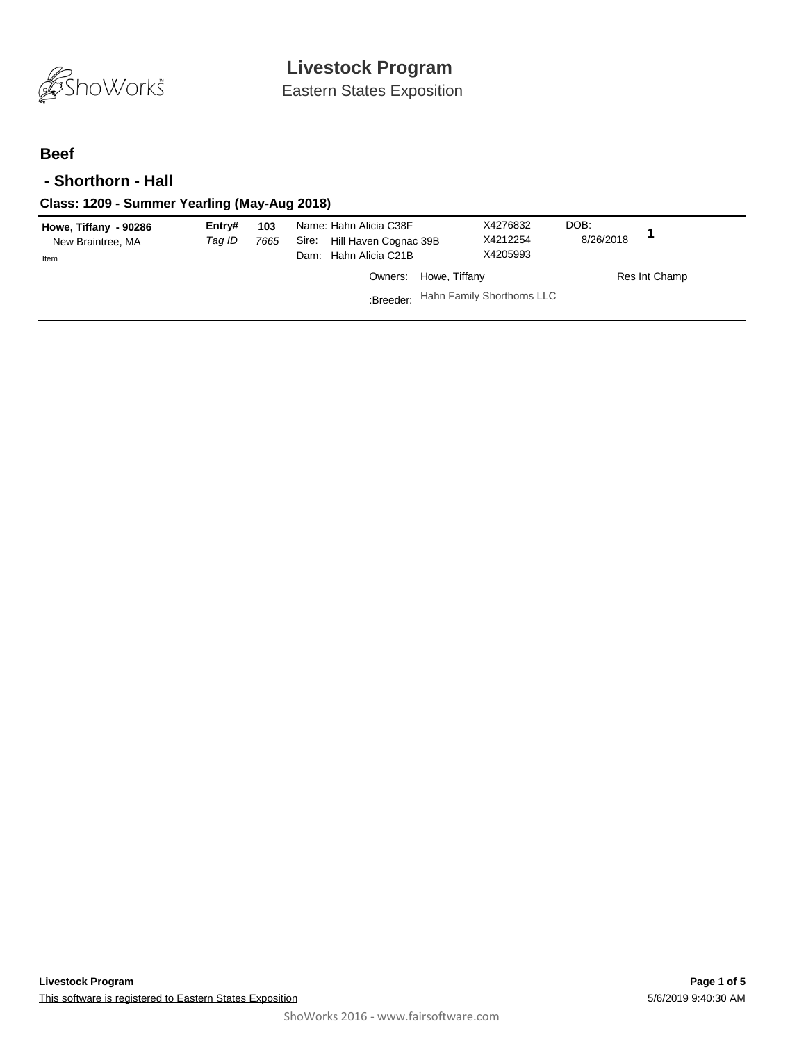

Eastern States Exposition

## **Beef**

### **- Shorthorn - Hall**

### **Class: 1209 - Summer Yearling (May-Aug 2018)**

| Howe, Tiffany - 90286<br>New Braintree, MA<br>Item | Entry#<br>Taq ID | 103<br>7665 | Name: Hahn Alicia C38F<br>Hill Haven Cognac 39B<br>Sire:<br>Dam: Hahn Alicia C21B | X4276832<br>X4212254<br>X4205993 | DOB:<br>8/26/2018 |
|----------------------------------------------------|------------------|-------------|-----------------------------------------------------------------------------------|----------------------------------|-------------------|
|                                                    |                  |             | Howe, Tiffany<br>Owners:                                                          |                                  | Res Int Champ     |
|                                                    |                  |             | :Breeder: Hahn Family Shorthorns LLC                                              |                                  |                   |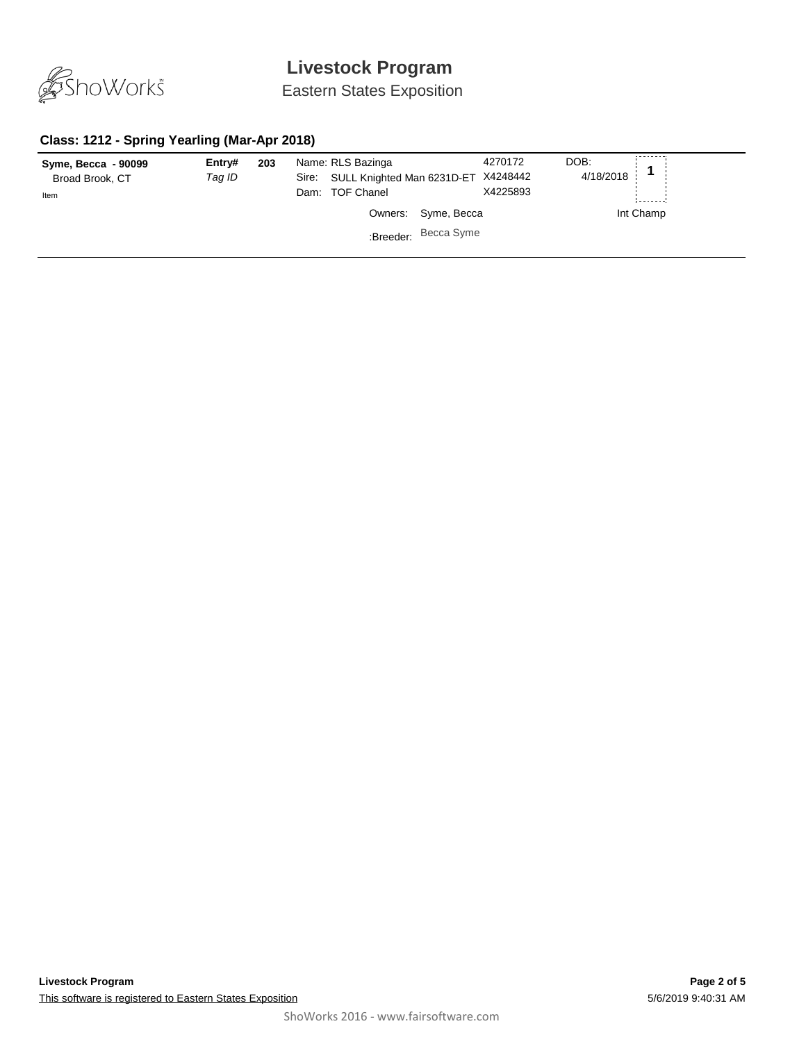

Eastern States Exposition

## **Class: 1212 - Spring Yearling (Mar-Apr 2018)**

| Syme, Becca - 90099<br>Broad Brook, CT<br>Item | Entry#<br>Tag ID | 203 | Name: RLS Bazinga<br>SULL Knighted Man 6231D-ET X4248442<br>Sire:<br>Dam: TOF Chanel |                      | 4270172<br>X4225893 | DOB:<br>4/18/2018 |           |
|------------------------------------------------|------------------|-----|--------------------------------------------------------------------------------------|----------------------|---------------------|-------------------|-----------|
|                                                |                  |     |                                                                                      | Owners: Syme, Becca  |                     |                   | Int Champ |
|                                                |                  |     |                                                                                      | :Breeder: Becca Syme |                     |                   |           |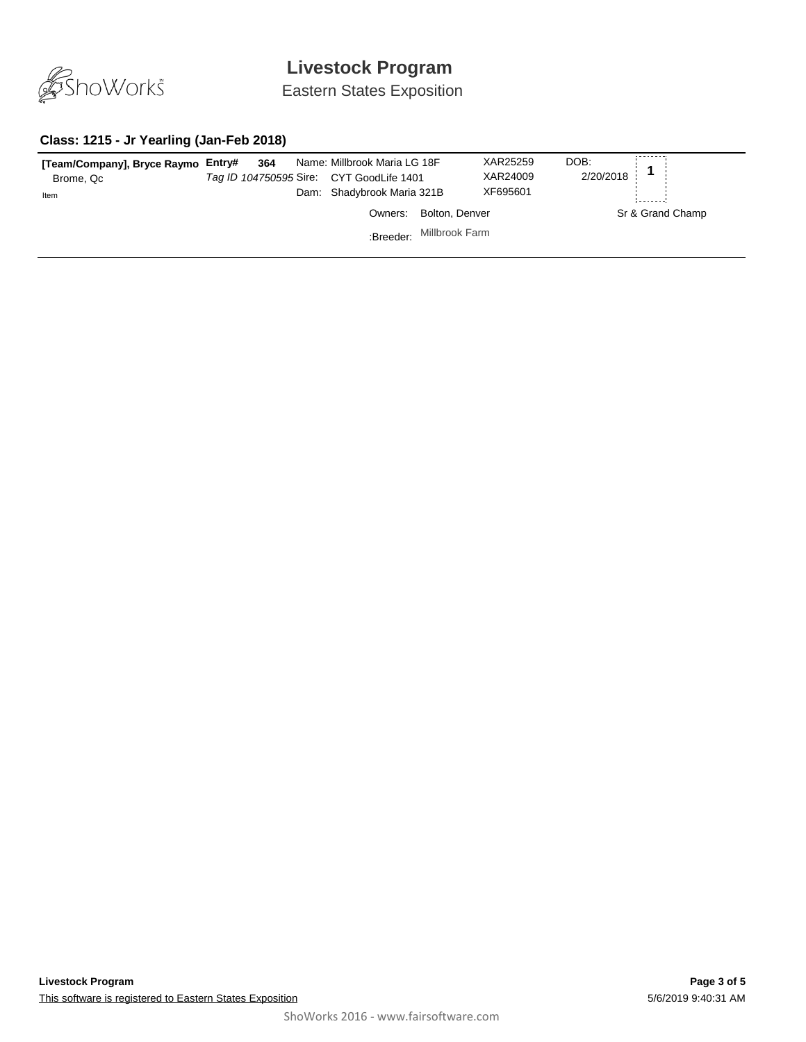

Eastern States Exposition

#### **Class: 1215 - Jr Yearling (Jan-Feb 2018)**

| [Team/Company], Bryce Raymo Entry#<br>Brome, Qc<br>Item | 364 | Name: Millbrook Maria LG 18F<br>Tag ID 104750595 Sire: CYT GoodLife 1401<br>Dam: Shadybrook Maria 321B |                          | XAR25259<br>XAR24009<br>XF695601 | DOB:<br>2/20/2018 |                  |
|---------------------------------------------------------|-----|--------------------------------------------------------------------------------------------------------|--------------------------|----------------------------------|-------------------|------------------|
|                                                         |     | Owners:                                                                                                | Bolton, Denver           |                                  |                   | Sr & Grand Champ |
|                                                         |     |                                                                                                        | :Breeder: Millbrook Farm |                                  |                   |                  |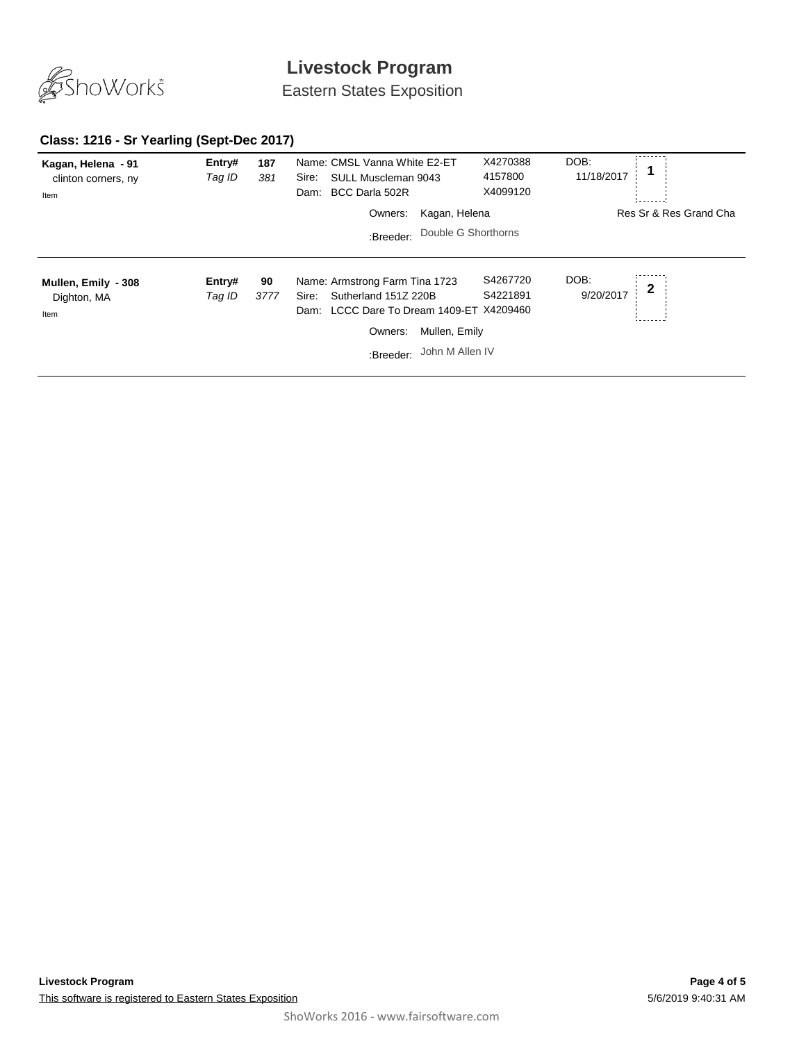

Eastern States Exposition

## **Class: 1216 - Sr Yearling (Sept-Dec 2017)**

| Kagan, Helena - 91<br>clinton corners, ny<br>Item | Entry#<br>Tag ID | 187<br>381 | Name: CMSL Vanna White E2-ET<br>SULL Muscleman 9043<br>Sire:<br>BCC Darla 502R<br>Dam:                                                                                  | X4270388<br>4157800<br>X4099120 | DOB:<br>11/18/2017               |
|---------------------------------------------------|------------------|------------|-------------------------------------------------------------------------------------------------------------------------------------------------------------------------|---------------------------------|----------------------------------|
|                                                   |                  |            | Kagan, Helena<br>Owners:                                                                                                                                                |                                 | Res Sr & Res Grand Cha           |
|                                                   |                  |            | Double G Shorthorns<br>:Breeder:                                                                                                                                        |                                 |                                  |
| Mullen, Emily - 308<br>Dighton, MA<br>Item        | Entry#<br>Tag ID | 90<br>3777 | Name: Armstrong Farm Tina 1723<br>Sutherland 151Z 220B<br>Sire:<br>Dam: LCCC Dare To Dream 1409-ET X4209460<br>Mullen, Emily<br>Owners:<br>John M Allen IV<br>:Breeder: | S4267720<br>S4221891            | DOB:<br>$\mathbf 2$<br>9/20/2017 |